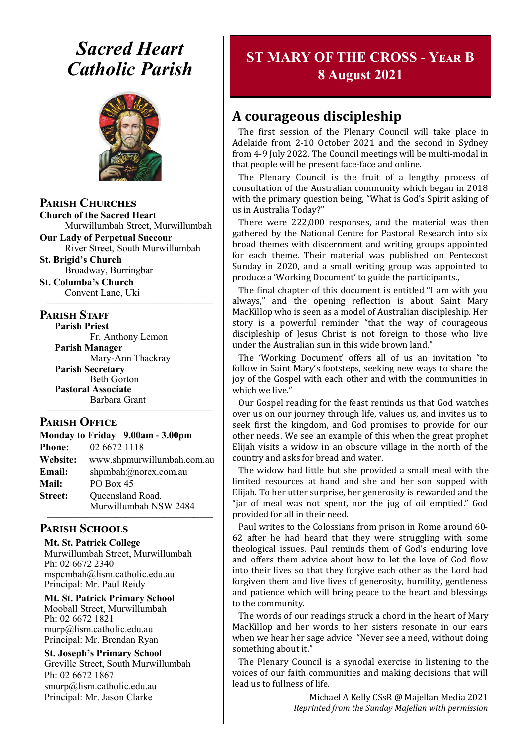# *Sacred Heart Catholic Parish*



**Parish Churches**

**Church of the Sacred Heart** Murwillumbah Street, Murwillumbah

**Our Lady of Perpetual Succour** River Street, South Murwillumbah

**St. Brigid's Church** Broadway, Burringbar

**St. Columba's Church** Convent Lane, Uki —————————————————

#### **PARISH STAFF**

**Parish Priest** Fr. Anthony Lemon

**Parish Manager** Mary-Ann Thackray **Parish Secretary** Beth Gorton **Pastoral Associate** Barbara Grant

#### **Parish Office**

**Monday to Friday 9.00am - 3.00pm Phone:** 02 6672 1118 **Website:** www.shpmurwillumbah.com.au **Email:** shpmbah@norex.com.au **Mail:** PO Box 45 **Street:** Oueensland Road, Murwillumbah NSW 2484 —————————————————

—————————————————

#### **Parish Schools**

**Mt. St. Patrick College** Murwillumbah Street, Murwillumbah Ph: 02 6672 2340 mspcmbah@lism.catholic.edu.au Principal: Mr. Paul Reidy

**Mt. St. Patrick Primary School** Mooball Street, Murwillumbah Ph: 02 6672 1821 murp@lism.catholic.edu.au Principal: Mr. Brendan Ryan

**St. Joseph's Primary School** Greville Street, South Murwillumbah Ph: 02 6672 1867 smurp@lism.catholic.edu.au Principal: Mr. Jason Clarke

## **ST MARY OF THE CROSS - Year B 8 August 2021**

## **A courageous discipleship**

The first session of the Plenary Council will take place in Adelaide from 2-10 October 2021 and the second in Sydney from 4-9 July 2022. The Council meetings will be multi-modal in that people will be present face-face and online.

The Plenary Council is the fruit of a lengthy process of consultation of the Australian community which began in 2018 with the primary question being, "What is God's Spirit asking of us in Australia Today?"

There were 222,000 responses, and the material was then gathered by the National Centre for Pastoral Research into six broad themes with discernment and writing groups appointed for each theme. Their material was published on Pentecost Sunday in 2020, and a small writing group was appointed to produce a 'Working Document' to guide the participants.,

The final chapter of this document is entitled "I am with you always," and the opening reflection is about Saint Mary MacKillop who is seen as a model of Australian discipleship. Her story is a powerful reminder "that the way of courageous discipleship of Jesus Christ is not foreign to those who live under the Australian sun in this wide brown land."

The 'Working Document' offers all of us an invitation "to follow in Saint Mary's footsteps, seeking new ways to share the joy of the Gospel with each other and with the communities in which we live."

Our Gospel reading for the feast reminds us that God watches over us on our journey through life, values us, and invites us to seek first the kingdom, and God promises to provide for our other needs. We see an example of this when the great prophet Elijah visits a widow in an obscure village in the north of the country and asks for bread and water.

The widow had little but she provided a small meal with the limited resources at hand and she and her son supped with Elijah. To her utter surprise, her generosity is rewarded and the "jar of meal was not spent, nor the jug of oil emptied." God provided for all in their need.

Paul writes to the Colossians from prison in Rome around 60- 62 after he had heard that they were struggling with some theological issues. Paul reminds them of God's enduring love and offers them advice about how to let the love of God flow into their lives so that they forgive each other as the Lord had forgiven them and live lives of generosity, humility, gentleness and patience which will bring peace to the heart and blessings to the community.

The words of our readings struck a chord in the heart of Mary MacKillop and her words to her sisters resonate in our ears when we hear her sage advice. "Never see a need, without doing something about it."

The Plenary Council is a synodal exercise in listening to the voices of our faith communities and making decisions that will lead us to fullness of life.

> Michael A Kelly CSsR @ Majellan Media 2021 *Reprinted from the Sunday Majellan with permission*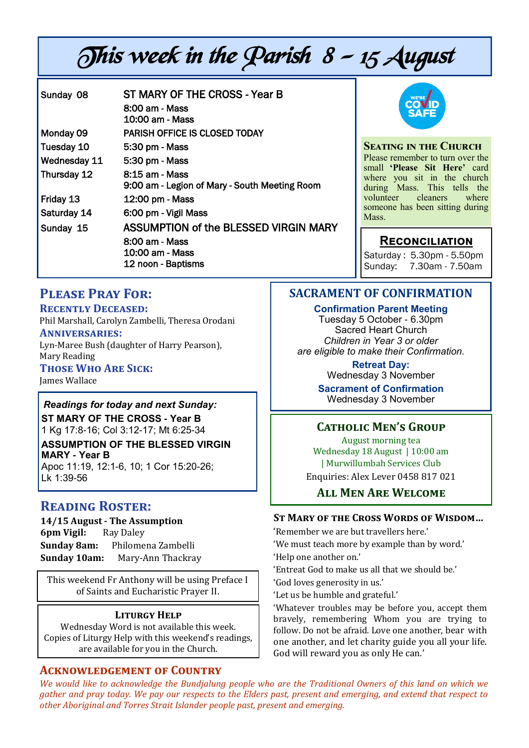# This week in the Parish 8 - 15 August

| Sunday 08    | ST MARY OF THE CROSS - Year B<br>8:00 am - Mass<br>10:00 am - Mass                               |
|--------------|--------------------------------------------------------------------------------------------------|
| Monday 09    | PARISH OFFICE IS CLOSED TODAY                                                                    |
| Tuesday 10   | 5:30 pm - Mass                                                                                   |
| Wednesday 11 | 5:30 pm - Mass                                                                                   |
| Thursday 12  | 8:15 am - Mass<br>9:00 am - Legion of Mary - South Meeting Room                                  |
| Friday 13    | 12:00 pm - Mass                                                                                  |
| Saturday 14  | 6:00 pm - Vigil Mass                                                                             |
| Sunday 15    | ASSUMPTION of the BLESSED VIRGIN MARY<br>8:00 am - Mass<br>10:00 am - Mass<br>12 noon - Baptisms |



**Seating in the Church** Please remember to turn over the small **'Please Sit Here'** card where you sit in the church during Mass. This tells the volunteer cleaners where someone has been sitting during Mass.

#### **Reconciliation**

Saturday : 5.30pm - 5.50pm Sunday: 7.30am - 7.50am

## **Please Pray For:**

**Recently Deceased:**

Phil Marshall, Carolyn Zambelli, Theresa Orodani

#### **Anniversaries:**

Lyn-Maree Bush (daughter of Harry Pearson), Mary Reading

## **Those Who Are Sick:**

James Wallace

## *Readings for today and next Sunday:*

**ST MARY OF THE CROSS - Year B**  1 Kg 17:8-16; Col 3:12-17; Mt 6:25-34

**ASSUMPTION OF THE BLESSED VIRGIN MARY - Year B** 

Apoc 11:19, 12:1-6, 10; 1 Cor 15:20-26; Lk 1:39-56

## **Reading Roster:**

**14/15 August - The Assumption 6pm Vigil:** Ray Daley **Sunday 8am:** Philomena Zambelli **Sunday 10am:** Mary-Ann Thackray

This weekend Fr Anthony will be using Preface I of Saints and Eucharistic Prayer II.

#### **Liturgy Help**

Wednesday Word is not available this week. Copies of Liturgy Help with this weekend's readings, are available for you in the Church.

#### **Acknowledgement of Country**

## **SACRAMENT OF CONFIRMATION**

#### **Confirmation Parent Meeting** Tuesday 5 October - 6.30pm

Sacred Heart Church *Children in Year 3 or older are eligible to make their Confirmation.*

> **Retreat Day:** Wednesday 3 November

**Sacrament of Confirmation** Wednesday 3 November

#### **Catholic Men's Group**

August morning tea Wednesday 18 August | 10:00 am | Murwillumbah Services Club Enquiries: Alex Lever 0458 817 021

**All Men Are Welcome**

#### **St Mary of the Cross Words of Wisdom…**

'Remember we are but travellers here.'

'We must teach more by example than by word.'

'Help one another on.'

'Entreat God to make us all that we should be.'

'God loves generosity in us.'

'Let us be humble and grateful.'

'Whatever troubles may be before you, accept them bravely, remembering Whom you are trying to follow. Do not be afraid. Love one another, bear with one another, and let charity guide you all your life. God will reward you as only He can.'

*We would like to acknowledge the Bundjalung people who are the Traditional Owners of this land on which we gather and pray today. We pay our respects to the Elders past, present and emerging, and extend that respect to other Aboriginal and Torres Strait Islander people past, present and emerging.*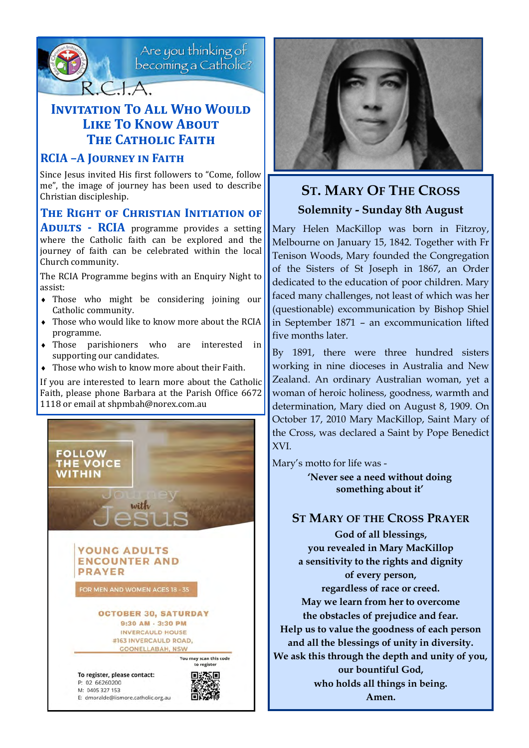

Are you thinking of<br>becoming a Catholic?

## **INVITATION TO ALL WHO WOULD Like To Know About THE CATHOLIC FAITH**

#### **RCIA –A Journey in Faith**

Since Jesus invited His first followers to "Come, follow me", the image of journey has been used to describe Christian discipleship.

#### **The Right of Christian Initiation of**

**ADULTS - RCIA** programme provides a setting where the Catholic faith can be explored and the journey of faith can be celebrated within the local Church community.

The RCIA Programme begins with an Enquiry Night to assist:

- Those who might be considering joining our Catholic community.
- Those who would like to know more about the RCIA programme.
- Those parishioners who are interested in supporting our candidates.
- Those who wish to know more about their Faith.

If you are interested to learn more about the Catholic Faith, please phone Barbara at the Parish Office 6672 1118 or email at shpmbah@norex.com.au





## **ST. MARY OF THE CROSS Solemnity - Sunday 8th August**

Mary Helen MacKillop was born in Fitzroy, Melbourne on January 15, 1842. Together with Fr Tenison Woods, Mary founded the Congregation of the Sisters of St Joseph in 1867, an Order dedicated to the education of poor children. Mary faced many challenges, not least of which was her (questionable) excommunication by Bishop Shiel in September 1871 – an excommunication lifted five months later.

By 1891, there were three hundred sisters working in nine dioceses in Australia and New Zealand. An ordinary Australian woman, yet a woman of heroic holiness, goodness, warmth and determination, Mary died on August 8, 1909. On October 17, 2010 Mary MacKillop, Saint Mary of the Cross, was declared a Saint by Pope Benedict XVI.

Mary's motto for life was -

**'Never see a need without doing something about it'**

#### **ST MARY OF THE CROSS PRAYER God of all blessings,**

**you revealed in Mary MacKillop a sensitivity to the rights and dignity of every person, regardless of race or creed.** 

**May we learn from her to overcome the obstacles of prejudice and fear. Help us to value the goodness of each person and all the blessings of unity in diversity. We ask this through the depth and unity of you, our bountiful God, who holds all things in being. Amen.**